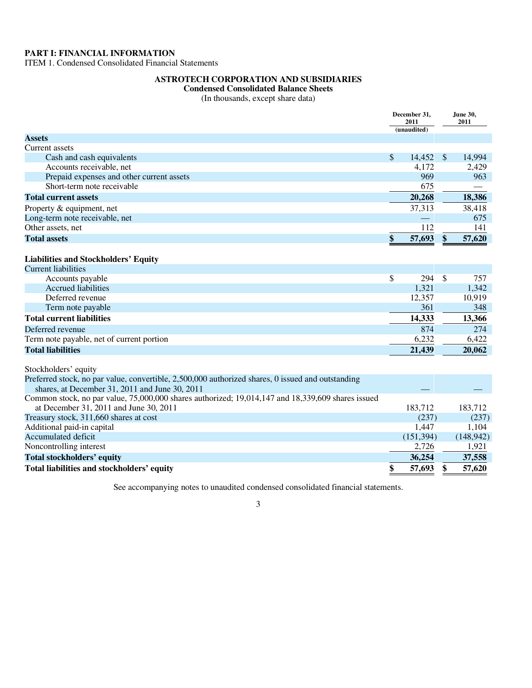#### **PART I: FINANCIAL INFORMATION**

ITEM 1. Condensed Consolidated Financial Statements

#### **ASTROTECH CORPORATION AND SUBSIDIARIES**

### **Condensed Consolidated Balance Sheets**

(In thousands, except share data)

|                                                                                                   | December 31,<br>2011<br>(unaudited) |            | June 30,<br>2011 |            |
|---------------------------------------------------------------------------------------------------|-------------------------------------|------------|------------------|------------|
| <b>Assets</b>                                                                                     |                                     |            |                  |            |
| Current assets                                                                                    |                                     |            |                  |            |
| Cash and cash equivalents                                                                         | \$                                  | 14,452     | $\mathcal{S}$    | 14,994     |
| Accounts receivable, net                                                                          |                                     | 4,172      |                  | 2,429      |
| Prepaid expenses and other current assets                                                         |                                     | 969        |                  | 963        |
| Short-term note receivable                                                                        |                                     | 675        |                  |            |
| <b>Total current assets</b>                                                                       |                                     | 20,268     |                  | 18,386     |
| Property & equipment, net                                                                         |                                     | 37,313     |                  | 38,418     |
| Long-term note receivable, net                                                                    |                                     |            |                  | 675        |
| Other assets, net                                                                                 |                                     | 112        |                  | 141        |
| <b>Total assets</b>                                                                               | \$                                  | 57,693     | \$               | 57,620     |
|                                                                                                   |                                     |            |                  |            |
| <b>Liabilities and Stockholders' Equity</b>                                                       |                                     |            |                  |            |
| <b>Current liabilities</b>                                                                        |                                     |            |                  |            |
| Accounts payable                                                                                  | \$                                  | 294        | \$               | 757        |
| <b>Accrued liabilities</b>                                                                        |                                     | 1,321      |                  | 1,342      |
| Deferred revenue                                                                                  |                                     | 12,357     |                  | 10,919     |
| Term note payable                                                                                 |                                     | 361        |                  | 348        |
| <b>Total current liabilities</b>                                                                  |                                     | 14,333     |                  | 13,366     |
| Deferred revenue                                                                                  |                                     | 874        |                  | 274        |
| Term note payable, net of current portion                                                         |                                     | 6,232      |                  | 6,422      |
| <b>Total liabilities</b>                                                                          |                                     | 21,439     |                  | 20,062     |
|                                                                                                   |                                     |            |                  |            |
| Stockholders' equity                                                                              |                                     |            |                  |            |
| Preferred stock, no par value, convertible, 2,500,000 authorized shares, 0 issued and outstanding |                                     |            |                  |            |
| shares, at December 31, 2011 and June 30, 2011                                                    |                                     |            |                  |            |
| Common stock, no par value, 75,000,000 shares authorized; 19,014,147 and 18,339,609 shares issued |                                     |            |                  |            |
| at December 31, 2011 and June 30, 2011                                                            |                                     | 183,712    |                  | 183,712    |
| Treasury stock, 311,660 shares at cost                                                            |                                     | (237)      |                  | (237)      |
| Additional paid-in capital                                                                        |                                     | 1,447      |                  | 1,104      |
| Accumulated deficit                                                                               |                                     | (151, 394) |                  | (148, 942) |
| Noncontrolling interest                                                                           |                                     | 2,726      |                  | 1,921      |
| <b>Total stockholders' equity</b>                                                                 |                                     | 36,254     |                  | 37,558     |
| Total liabilities and stockholders' equity                                                        |                                     | 57,693     | \$               | 57,620     |
|                                                                                                   |                                     |            |                  |            |

See accompanying notes to unaudited condensed consolidated financial statements.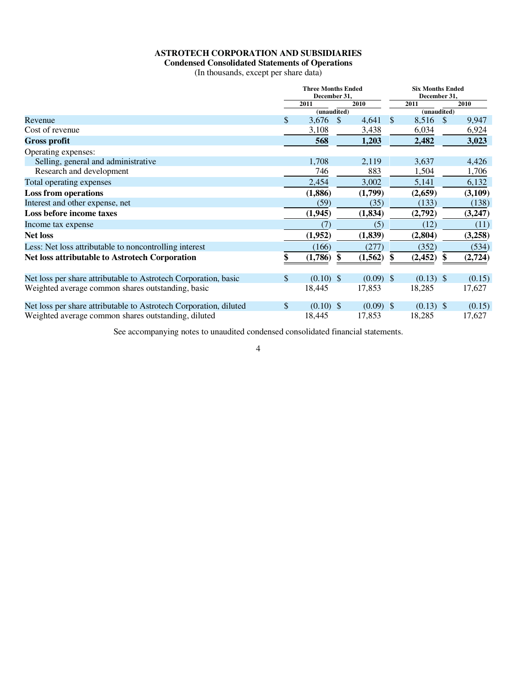### **ASTROTECH CORPORATION AND SUBSIDIARIES**

# **Condensed Consolidated Statements of Operations**

(In thousands, except per share data)

|                                                                   | <b>Three Months Ended</b><br>December 31, |             |               | <b>Six Months Ended</b><br>December 31, |              |                          |               |         |
|-------------------------------------------------------------------|-------------------------------------------|-------------|---------------|-----------------------------------------|--------------|--------------------------|---------------|---------|
|                                                                   |                                           | 2011        |               | 2010                                    |              | 2011                     |               | 2010    |
|                                                                   |                                           | (unaudited) |               |                                         |              | $(\overline{unaudited})$ |               |         |
| Revenue                                                           | \$                                        | 3,676       | <sup>\$</sup> | 4,641                                   | $\mathbb{S}$ | 8,516                    | $\mathcal{S}$ | 9,947   |
| Cost of revenue                                                   |                                           | 3,108       |               | 3,438                                   |              | 6,034                    |               | 6,924   |
| <b>Gross profit</b>                                               |                                           | 568         |               | 1,203                                   |              | 2,482                    |               | 3,023   |
| Operating expenses:                                               |                                           |             |               |                                         |              |                          |               |         |
| Selling, general and administrative                               |                                           | 1,708       |               | 2,119                                   |              | 3,637                    |               | 4,426   |
| Research and development                                          |                                           | 746         |               | 883                                     |              | 1,504                    |               | 1,706   |
| Total operating expenses                                          |                                           | 2,454       |               | 3,002                                   |              | 5,141                    |               | 6,132   |
| <b>Loss from operations</b>                                       |                                           | (1,886)     |               | (1,799)                                 |              | (2,659)                  |               | (3,109) |
| Interest and other expense, net                                   |                                           | (59)        |               | (35)                                    |              | (133)                    |               | (138)   |
| Loss before income taxes                                          |                                           | (1, 945)    |               | (1, 834)                                |              | (2,792)                  |               | (3,247) |
| Income tax expense                                                |                                           | (7)         |               | (5)                                     |              | (12)                     |               | (11)    |
| <b>Net loss</b>                                                   |                                           | (1,952)     |               | (1, 839)                                |              | (2, 804)                 |               | (3,258) |
| Less: Net loss attributable to noncontrolling interest            |                                           | (166)       |               | (277)                                   |              | (352)                    |               | (534)   |
| <b>Net loss attributable to Astrotech Corporation</b>             | \$                                        | (1,786)     | S             | (1, 562)                                |              | (2, 452)                 |               | (2,724) |
| Net loss per share attributable to Astrotech Corporation, basic   | \$                                        | $(0.10)$ \$ |               | $(0.09)$ \$                             |              | $(0.13)$ \$              |               | (0.15)  |
| Weighted average common shares outstanding, basic                 |                                           | 18,445      |               | 17,853                                  |              | 18,285                   |               | 17,627  |
| Net loss per share attributable to Astrotech Corporation, diluted | $\mathcal{S}$                             | $(0.10)$ \$ |               | $(0.09)$ \$                             |              | $(0.13)$ \$              |               | (0.15)  |
| Weighted average common shares outstanding, diluted               |                                           | 18,445      |               | 17,853                                  |              | 18,285                   |               | 17,627  |

See accompanying notes to unaudited condensed consolidated financial statements.

4